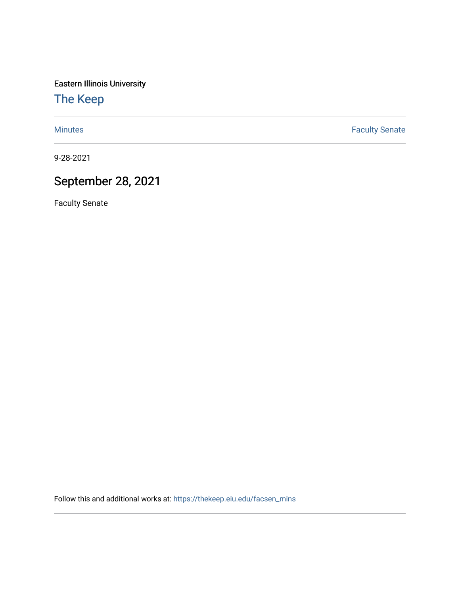Eastern Illinois University

[The Keep](https://thekeep.eiu.edu/) 

[Minutes](https://thekeep.eiu.edu/facsen_mins) **Faculty Senate** 

9-28-2021

## September 28, 2021

Faculty Senate

Follow this and additional works at: [https://thekeep.eiu.edu/facsen\\_mins](https://thekeep.eiu.edu/facsen_mins?utm_source=thekeep.eiu.edu%2Ffacsen_mins%2F1153&utm_medium=PDF&utm_campaign=PDFCoverPages)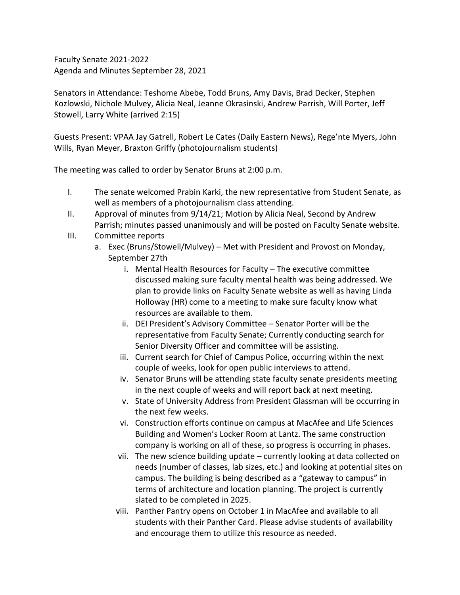Faculty Senate 2021-2022 Agenda and Minutes September 28, 2021

Senators in Attendance: Teshome Abebe, Todd Bruns, Amy Davis, Brad Decker, Stephen Kozlowski, Nichole Mulvey, Alicia Neal, Jeanne Okrasinski, Andrew Parrish, Will Porter, Jeff Stowell, Larry White (arrived 2:15)

Guests Present: VPAA Jay Gatrell, Robert Le Cates (Daily Eastern News), Rege'nte Myers, John Wills, Ryan Meyer, Braxton Griffy (photojournalism students)

The meeting was called to order by Senator Bruns at 2:00 p.m.

- I. The senate welcomed Prabin Karki, the new representative from Student Senate, as well as members of a photojournalism class attending.
- II. Approval of minutes from 9/14/21; Motion by Alicia Neal, Second by Andrew Parrish; minutes passed unanimously and will be posted on Faculty Senate website.
- III. Committee reports
	- a. Exec (Bruns/Stowell/Mulvey) Met with President and Provost on Monday, September 27th
		- i. Mental Health Resources for Faculty The executive committee discussed making sure faculty mental health was being addressed. We plan to provide links on Faculty Senate website as well as having Linda Holloway (HR) come to a meeting to make sure faculty know what resources are available to them.
		- ii. DEI President's Advisory Committee Senator Porter will be the representative from Faculty Senate; Currently conducting search for Senior Diversity Officer and committee will be assisting.
		- iii. Current search for Chief of Campus Police, occurring within the next couple of weeks, look for open public interviews to attend.
		- iv. Senator Bruns will be attending state faculty senate presidents meeting in the next couple of weeks and will report back at next meeting.
		- v. State of University Address from President Glassman will be occurring in the next few weeks.
		- vi. Construction efforts continue on campus at MacAfee and Life Sciences Building and Women's Locker Room at Lantz. The same construction company is working on all of these, so progress is occurring in phases.
		- vii. The new science building update currently looking at data collected on needs (number of classes, lab sizes, etc.) and looking at potential sites on campus. The building is being described as a "gateway to campus" in terms of architecture and location planning. The project is currently slated to be completed in 2025.
		- viii. Panther Pantry opens on October 1 in MacAfee and available to all students with their Panther Card. Please advise students of availability and encourage them to utilize this resource as needed.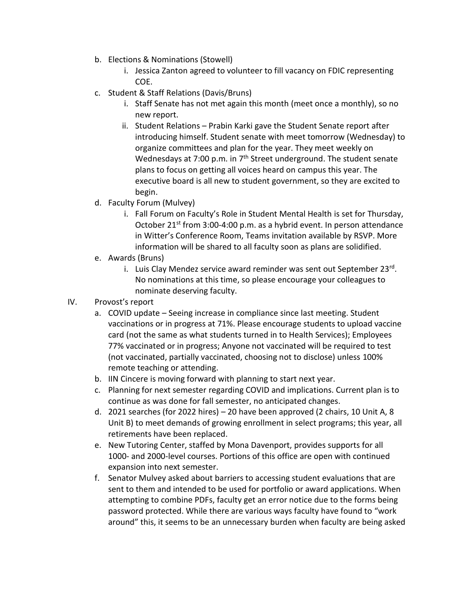- b. Elections & Nominations (Stowell)
	- i. Jessica Zanton agreed to volunteer to fill vacancy on FDIC representing COE.
- c. Student & Staff Relations (Davis/Bruns)
	- i. Staff Senate has not met again this month (meet once a monthly), so no new report.
	- ii. Student Relations Prabin Karki gave the Student Senate report after introducing himself. Student senate with meet tomorrow (Wednesday) to organize committees and plan for the year. They meet weekly on Wednesdays at 7:00 p.m. in 7<sup>th</sup> Street underground. The student senate plans to focus on getting all voices heard on campus this year. The executive board is all new to student government, so they are excited to begin.
- d. Faculty Forum (Mulvey)
	- i. Fall Forum on Faculty's Role in Student Mental Health is set for Thursday, October 21<sup>st</sup> from 3:00-4:00 p.m. as a hybrid event. In person attendance in Witter's Conference Room, Teams invitation available by RSVP. More information will be shared to all faculty soon as plans are solidified.
- e. Awards (Bruns)
	- i. Luis Clay Mendez service award reminder was sent out September 23rd. No nominations at this time, so please encourage your colleagues to nominate deserving faculty.
- IV. Provost's report
	- a. COVID update Seeing increase in compliance since last meeting. Student vaccinations or in progress at 71%. Please encourage students to upload vaccine card (not the same as what students turned in to Health Services); Employees 77% vaccinated or in progress; Anyone not vaccinated will be required to test (not vaccinated, partially vaccinated, choosing not to disclose) unless 100% remote teaching or attending.
	- b. IIN Cincere is moving forward with planning to start next year.
	- c. Planning for next semester regarding COVID and implications. Current plan is to continue as was done for fall semester, no anticipated changes.
	- d. 2021 searches (for 2022 hires) 20 have been approved (2 chairs, 10 Unit A, 8 Unit B) to meet demands of growing enrollment in select programs; this year, all retirements have been replaced.
	- e. New Tutoring Center, staffed by Mona Davenport, provides supports for all 1000- and 2000-level courses. Portions of this office are open with continued expansion into next semester.
	- f. Senator Mulvey asked about barriers to accessing student evaluations that are sent to them and intended to be used for portfolio or award applications. When attempting to combine PDFs, faculty get an error notice due to the forms being password protected. While there are various ways faculty have found to "work around" this, it seems to be an unnecessary burden when faculty are being asked